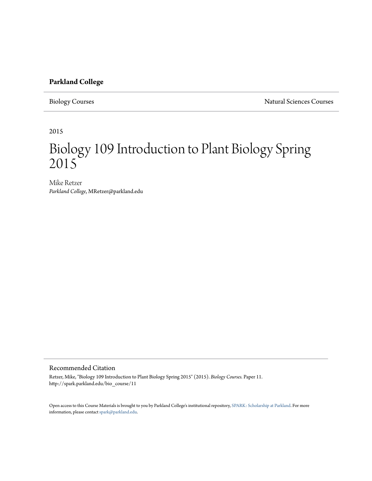# **Parkland College**

Biology Courses Natural Sciences Courses

2015

# Biology 109 Introduction to Plant Biology Spring 2015

Mike Retzer *Parkland College*, MRetzer@parkland.edu

### Recommended Citation

Retzer, Mike, "Biology 109 Introduction to Plant Biology Spring 2015" (2015). *Biology Courses.* Paper 11. http://spark.parkland.edu/bio\_course/11

Open access to this Course Materials is brought to you by Parkland College's institutional repository, [SPARK: Scholarship at Parkland](http://spark.parkland.edu/). For more information, please contact [spark@parkland.edu](mailto:spark@parkland.edu).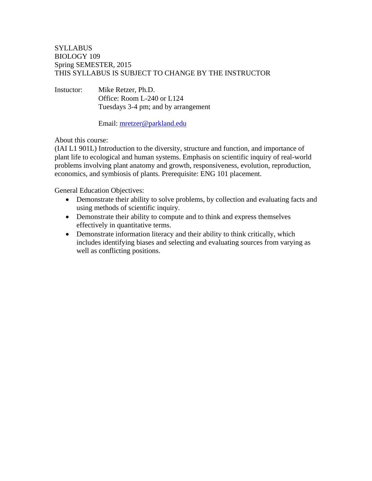# **SYLLABUS** BIOLOGY 109 Spring SEMESTER, 2015 THIS SYLLABUS IS SUBJECT TO CHANGE BY THE INSTRUCTOR

Instuctor: Mike Retzer, Ph.D. Office: Room L-240 or L124 Tuesdays 3-4 pm; and by arrangement

Email: mretzer@parkland.edu

About this course:

(IAI L1 901L) Introduction to the diversity, structure and function, and importance of plant life to ecological and human systems. Emphasis on scientific inquiry of real-world problems involving plant anatomy and growth, responsiveness, evolution, reproduction, economics, and symbiosis of plants. Prerequisite: ENG 101 placement.

General Education Objectives:

- Demonstrate their ability to solve problems, by collection and evaluating facts and using methods of scientific inquiry.
- Demonstrate their ability to compute and to think and express themselves effectively in quantitative terms.
- Demonstrate information literacy and their ability to think critically, which includes identifying biases and selecting and evaluating sources from varying as well as conflicting positions.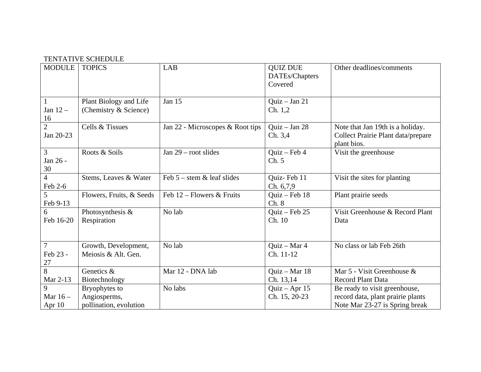## TENTATIVE SCHEDULE

| <b>MODULE</b>                    | <b>TOPICS</b>                                           | LAB                              | <b>QUIZ DUE</b><br>DATEs/Chapters<br>Covered | Other deadlines/comments                                                                             |
|----------------------------------|---------------------------------------------------------|----------------------------------|----------------------------------------------|------------------------------------------------------------------------------------------------------|
| $\mathbf{1}$<br>Jan $12-$<br>16  | Plant Biology and Life<br>(Chemistry & Science)         | <b>Jan 15</b>                    | Quiz $-$ Jan 21<br>Ch. 1, 2                  |                                                                                                      |
| $\overline{2}$<br>Jan 20-23      | Cells & Tissues                                         | Jan 22 - Microscopes & Root tips | Quiz $-$ Jan 28<br>Ch. 3,4                   | Note that Jan 19th is a holiday.<br>Collect Prairie Plant data/prepare<br>plant bios.                |
| $\overline{3}$<br>Jan 26 -<br>30 | Roots & Soils                                           | Jan $29$ – root slides           | $Quiz - Feb 4$<br>Ch. 5                      | Visit the greenhouse                                                                                 |
| $\overline{4}$<br>Feb 2-6        | Stems, Leaves & Water                                   | Feb $5$ – stem $\&$ leaf slides  | Quiz-Feb 11<br>Ch. 6,7,9                     | Visit the sites for planting                                                                         |
| 5<br>Feb 9-13                    | Flowers, Fruits, & Seeds                                | Feb $12$ – Flowers & Fruits      | $Quiz - Feb 18$<br>Ch. 8                     | Plant prairie seeds                                                                                  |
| 6<br>Feb 16-20                   | Photosynthesis &<br>Respiration                         | No lab                           | $Quiz - Feb 25$<br>Ch. 10                    | Visit Greenhouse & Record Plant<br>Data                                                              |
| $\tau$<br>Feb 23 -<br>27         | Growth, Development,<br>Meiosis & Alt. Gen.             | No lab                           | Quiz - Mar 4<br>Ch. 11-12                    | No class or lab Feb 26th                                                                             |
| $\overline{8}$<br>Mar 2-13       | Genetics &<br>Biotechnology                             | Mar 12 - DNA lab                 | Quiz - Mar 18<br>Ch. 13,14                   | Mar 5 - Visit Greenhouse &<br><b>Record Plant Data</b>                                               |
| 9<br>Mar $16-$<br>Apr 10         | Bryophytes to<br>Angiosperms,<br>pollination, evolution | No labs                          | $Quiz - Apr 15$<br>Ch. 15, 20-23             | Be ready to visit greenhouse,<br>record data, plant prairie plants<br>Note Mar 23-27 is Spring break |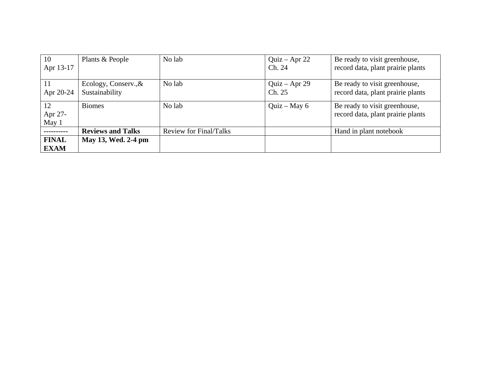| 10                         | Plants & People                        | No lab                 | Quiz – Apr 22             | Be ready to visit greenhouse,                                      |
|----------------------------|----------------------------------------|------------------------|---------------------------|--------------------------------------------------------------------|
| Apr 13-17                  |                                        |                        | Ch. 24                    | record data, plant prairie plants                                  |
| <sup>11</sup><br>Apr 20-24 | Ecology, Conserv., &<br>Sustainability | No lab                 | $Quiz - Apr 29$<br>Ch. 25 | Be ready to visit greenhouse,<br>record data, plant prairie plants |
| 12<br>Apr 27-<br>May 1     | <b>Biomes</b>                          | No lab                 | Quiz – May $6$            | Be ready to visit greenhouse,<br>record data, plant prairie plants |
| .                          | <b>Reviews and Talks</b>               | Review for Final/Talks |                           | Hand in plant notebook                                             |
| <b>FINAL</b>               | May 13, Wed. 2-4 pm                    |                        |                           |                                                                    |
| <b>EXAM</b>                |                                        |                        |                           |                                                                    |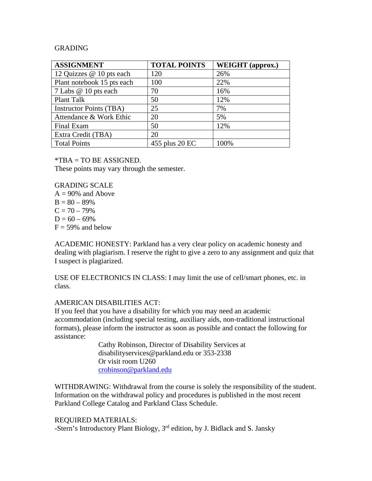## GRADING

| <b>ASSIGNMENT</b>              | <b>TOTAL POINTS</b> | WEIGHT (approx.) |
|--------------------------------|---------------------|------------------|
| 12 Quizzes @ 10 pts each       | 120                 | 26%              |
| Plant notebook 15 pts each     | 100                 | 22%              |
| 7 Labs @ 10 pts each           | 70                  | 16%              |
| Plant Talk                     | 50                  | 12%              |
| <b>Instructor Points (TBA)</b> | 25                  | 7%               |
| Attendance & Work Ethic        | 20                  | 5%               |
| Final Exam                     | 50                  | 12%              |
| Extra Credit (TBA)             | 20                  |                  |
| <b>Total Points</b>            | 455 plus 20 EC      | 100%             |

\*TBA = TO BE ASSIGNED.

These points may vary through the semester.

GRADING SCALE

 $A = 90\%$  and Above  $B = 80 - 89%$  $C = 70 - 79%$  $D = 60 - 69%$  $F = 59\%$  and below

ACADEMIC HONESTY: Parkland has a very clear policy on academic honesty and dealing with plagiarism. I reserve the right to give a zero to any assignment and quiz that I suspect is plagiarized.

USE OF ELECTRONICS IN CLASS: I may limit the use of cell/smart phones, etc. in class.

#### AMERICAN DISABILITIES ACT:

If you feel that you have a disability for which you may need an academic accommodation (including special testing, auxiliary aids, non-traditional instructional formats), please inform the instructor as soon as possible and contact the following for assistance:

> Cathy Robinson, Director of Disability Services at disabilityservices@parkland.edu or 353-2338 Or visit room U260 crobinson@parkland.edu

WITHDRAWING: Withdrawal from the course is solely the responsibility of the student. Information on the withdrawal policy and procedures is published in the most recent Parkland College Catalog and Parkland Class Schedule.

#### REQUIRED MATERIALS:

-Stern's Introductory Plant Biology, 3<sup>rd</sup> edition, by J. Bidlack and S. Jansky